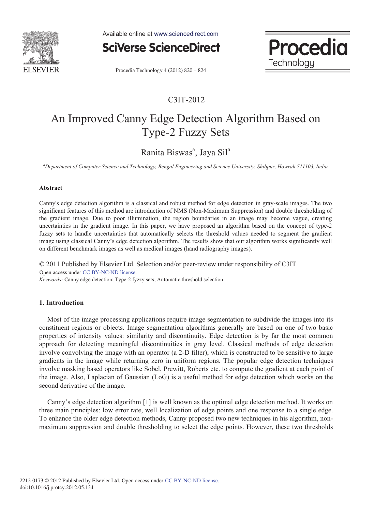

Available online at www.sciencedirect.com



Procedia Technology 4 (2012) 820 - 824

### C3IT-2012

Procedia

Technology

# An Improved Canny Edge Detection Algorithm Based on Type-2 Fuzzy Sets

## Ranita Biswas<sup>a</sup>, Jaya Sil<sup>a</sup>

*a Department of Computer Science and Technology, Bengal Engineering and Science University, Shibpur, Howrah 711103, India* 

#### **Abstract**

Canny's edge detection algorithm is a classical and robust method for edge detection in gray-scale images. The two significant features of this method are introduction of NMS (Non-Maximum Suppression) and double thresholding of the gradient image. Due to poor illumination, the region boundaries in an image may become vague, creating uncertainties in the gradient image. In this paper, we have proposed an algorithm based on the concept of type-2 fuzzy sets to handle uncertainties that automatically selects the threshold values needed to segment the gradient image using classical Canny's edge detection algorithm. The results show that our algorithm works significantly well on different benchmark images as well as medical images (hand radiography images).

© 2011 Published by Elsevier Ltd. Selection and/or peer-review under responsibility of C3IT *Keywords:* Canny edge detection; Type-2 fyzzy sets; Automatic threshold selection Open access under CC BY-NC-ND license.

#### **1. Introduction**

Most of the image processing applications require image segmentation to subdivide the images into its constituent regions or objects. Image segmentation algorithms generally are based on one of two basic properties of intensity values: similarity and discontinuity. Edge detection is by far the most common approach for detecting meaningful discontinuities in gray level. Classical methods of edge detection involve convolving the image with an operator (a 2-D filter), which is constructed to be sensitive to large gradients in the image while returning zero in uniform regions. The popular edge detection techniques involve masking based operators like Sobel, Prewitt, Roberts etc. to compute the gradient at each point of the image. Also, Laplacian of Gaussian (LoG) is a useful method for edge detection which works on the second derivative of the image.

Canny's edge detection algorithm [1] is well known as the optimal edge detection method. It works on three main principles: low error rate, well localization of edge points and one response to a single edge. To enhance the older edge detection methods, Canny proposed two new techniques in his algorithm, nonmaximum suppression and double thresholding to select the edge points. However, these two thresholds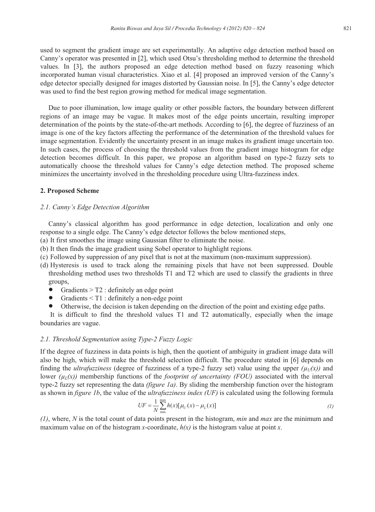used to segment the gradient image are set experimentally. An adaptive edge detection method based on Canny's operator was presented in [2], which used Otsu's thresholding method to determine the threshold values. In [3], the authors proposed an edge detection method based on fuzzy reasoning which incorporated human visual characteristics. Xiao et al. [4] proposed an improved version of the Canny's edge detector specially designed for images distorted by Gaussian noise. In [5], the Canny's edge detector was used to find the best region growing method for medical image segmentation.

Due to poor illumination, low image quality or other possible factors, the boundary between different regions of an image may be vague. It makes most of the edge points uncertain, resulting improper determination of the points by the state-of-the-art methods. According to [6], the degree of fuzziness of an image is one of the key factors affecting the performance of the determination of the threshold values for image segmentation. Evidently the uncertainty present in an image makes its gradient image uncertain too. In such cases, the process of choosing the threshold values from the gradient image histogram for edge detection becomes difficult. In this paper, we propose an algorithm based on type-2 fuzzy sets to automatically choose the threshold values for Canny's edge detection method. The proposed scheme minimizes the uncertainty involved in the thresholding procedure using Ultra-fuzziness index.

#### **2. Proposed Scheme**

#### *2.1. Canny's Edge Detection Algorithm*

Canny's classical algorithm has good performance in edge detection, localization and only one response to a single edge. The Canny's edge detector follows the below mentioned steps,

- (a) It first smoothes the image using Gaussian filter to eliminate the noise.
- (b) It then finds the image gradient using Sobel operator to highlight regions.
- (c) Followed by suppression of any pixel that is not at the maximum (non-maximum suppression).
- (d) Hysteresis is used to track along the remaining pixels that have not been suppressed. Double thresholding method uses two thresholds T1 and T2 which are used to classify the gradients in three groups,
	- Gradients  $>$  T2 : definitely an edge point
	- Gradients  $\leq$  T1 : definitely a non-edge point
	- Otherwise, the decision is taken depending on the direction of the point and existing edge paths.

 It is difficult to find the threshold values T1 and T2 automatically, especially when the image boundaries are vague.

#### *2.1. Threshold Segmentation using Type-2 Fuzzy Logic*

If the degree of fuzziness in data points is high, then the quotient of ambiguity in gradient image data will also be high, which will make the threshold selection difficult. The procedure stated in [6] depends on finding the *ultrafuzziness* (degree of fuzziness of a type-2 fuzzy set) value using the upper  $(\mu_U(x))$  and lower  $(\mu_1(x))$  membership functions of the *footprint of uncertainty (FOU)* associated with the interval type-2 fuzzy set representing the data *(figure 1a)*. By sliding the membership function over the histogram as shown in *figure 1b*, the value of the *ultrafuzziness index (UF)* is calculated using the following formula

$$
UF = \frac{1}{N} \sum_{\min}^{max} h(x) [\mu_U(x) - \mu_L(x)] \tag{1}
$$

*(1)*, where, *N* is the total count of data points present in the histogram, *min* and *max* are the minimum and maximum value on of the histogram *x*-coordinate, *h(x)* is the histogram value at point *x*.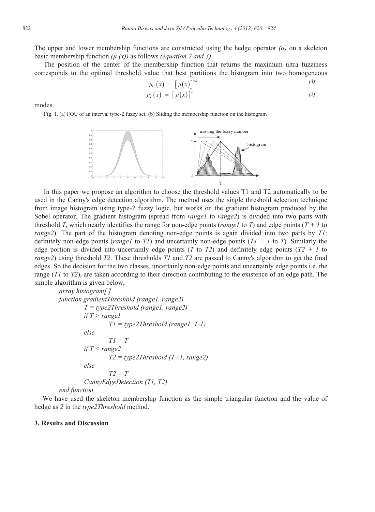The upper and lower membership functions are constructed using the hedge operator  $\alpha$ *)* on a skeleton basic membership function  $(u(x))$  as follows *(equation 2 and 3)*.

The position of the center of the membership function that returns the maximum ultra fuzziness corresponds to the optimal threshold value that best partitions the histogram into two homogeneous

$$
\mu_U(x) = \left[\mu(x)\right]^{1/\alpha} \tag{3}
$$
\n
$$
\mu_L(x) = \left[\mu(x)\right]^\alpha \tag{2}
$$

modes.

Fig. 1. (a) FOU of an interval type-2 fuzzy set; (b) Sliding the membership function on the histogram



In this paper we propose an algorithm to choose the threshold values T1 and T2 automatically to be used in the Canny's edge detection algorithm. The method uses the single threshold selection technique from image histogram using type-2 fuzzy logic, but works on the gradient histogram produced by the Sobel operator. The gradient histogram (spread from *range1* to *range2*) is divided into two parts with threshold *T*, which nearly identifies the range for non-edge points (*range1* to *T*) and edge points (*T + 1* to *range2*). The part of the histogram denoting non-edge points is again divided into two parts by *T1*: definitely non-edge points (*range1* to *T1*) and uncertainly non-edge points (*T1 + 1* to *T*). Similarly the edge portion is divided into uncertainly edge points (*T* to *T2*) and definitely edge points ( $T2 + 1$  to *range2*) using threshold *T2*. These thresholds *T1* and *T2* are passed to Canny's algorithm to get the final edges. So the decision for the two classes, uncertainly non-edge points and uncertainly edge points i.e. the range (*T1* to *T2*), are taken according to their direction contributing to the existence of an edge path. The simple algorithm is given below,

```
array histogram[ ] 
function gradientThreshold (range1, range2) 
           T = type2Threshold (range1, range2) 
          if T > range1 
                    T1 = type2Threshold (range1, T-1) 
          else 
                    T1 = T 
          if T < range2 
                    T2 = type2Threshold (T+1, range2) 
          else 
                    T2 = T 
          CannyEdgeDetection (T1, T2)
```
#### *end function*

We have used the skeleton membership function as the simple triangular function and the value of hedge as *2* in the *type2Threshold* method.

#### **3. Results and Discussion**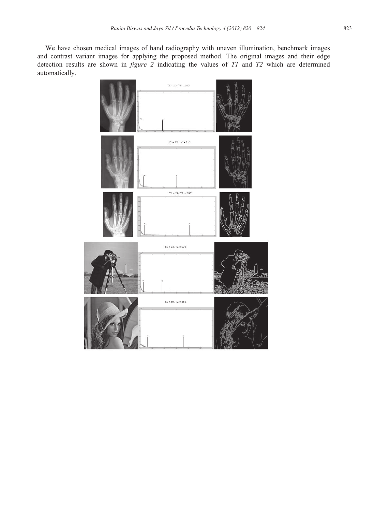We have chosen medical images of hand radiography with uneven illumination, benchmark images and contrast variant images for applying the proposed method. The original images and their edge detection results are shown in *figure 2* indicating the values of *T1* and *T2* which are determined automatically.